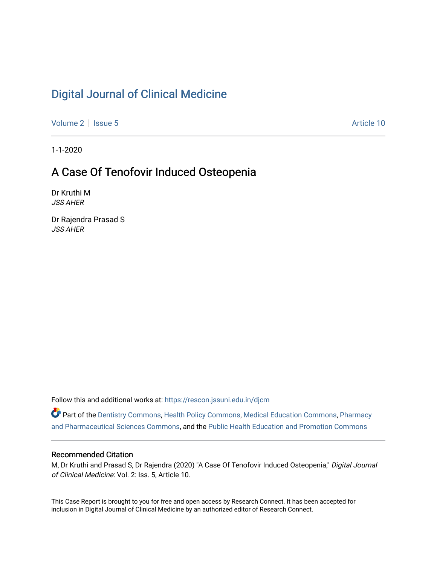# [Digital Journal of Clinical Medicine](https://rescon.jssuni.edu.in/djcm)

[Volume 2](https://rescon.jssuni.edu.in/djcm/vol2) | [Issue 5](https://rescon.jssuni.edu.in/djcm/vol2/iss5) Article 10

1-1-2020

# A Case Of Tenofovir Induced Osteopenia

Dr Kruthi M JSS AHER

Dr Rajendra Prasad S JSS AHER

Follow this and additional works at: [https://rescon.jssuni.edu.in/djcm](https://rescon.jssuni.edu.in/djcm?utm_source=rescon.jssuni.edu.in%2Fdjcm%2Fvol2%2Fiss5%2F10&utm_medium=PDF&utm_campaign=PDFCoverPages) 

Part of the [Dentistry Commons,](http://network.bepress.com/hgg/discipline/651?utm_source=rescon.jssuni.edu.in%2Fdjcm%2Fvol2%2Fiss5%2F10&utm_medium=PDF&utm_campaign=PDFCoverPages) [Health Policy Commons,](http://network.bepress.com/hgg/discipline/395?utm_source=rescon.jssuni.edu.in%2Fdjcm%2Fvol2%2Fiss5%2F10&utm_medium=PDF&utm_campaign=PDFCoverPages) [Medical Education Commons,](http://network.bepress.com/hgg/discipline/1125?utm_source=rescon.jssuni.edu.in%2Fdjcm%2Fvol2%2Fiss5%2F10&utm_medium=PDF&utm_campaign=PDFCoverPages) [Pharmacy](http://network.bepress.com/hgg/discipline/731?utm_source=rescon.jssuni.edu.in%2Fdjcm%2Fvol2%2Fiss5%2F10&utm_medium=PDF&utm_campaign=PDFCoverPages) [and Pharmaceutical Sciences Commons,](http://network.bepress.com/hgg/discipline/731?utm_source=rescon.jssuni.edu.in%2Fdjcm%2Fvol2%2Fiss5%2F10&utm_medium=PDF&utm_campaign=PDFCoverPages) and the [Public Health Education and Promotion Commons](http://network.bepress.com/hgg/discipline/743?utm_source=rescon.jssuni.edu.in%2Fdjcm%2Fvol2%2Fiss5%2F10&utm_medium=PDF&utm_campaign=PDFCoverPages) 

## Recommended Citation

M, Dr Kruthi and Prasad S, Dr Rajendra (2020) "A Case Of Tenofovir Induced Osteopenia," Digital Journal of Clinical Medicine: Vol. 2: Iss. 5, Article 10.

This Case Report is brought to you for free and open access by Research Connect. It has been accepted for inclusion in Digital Journal of Clinical Medicine by an authorized editor of Research Connect.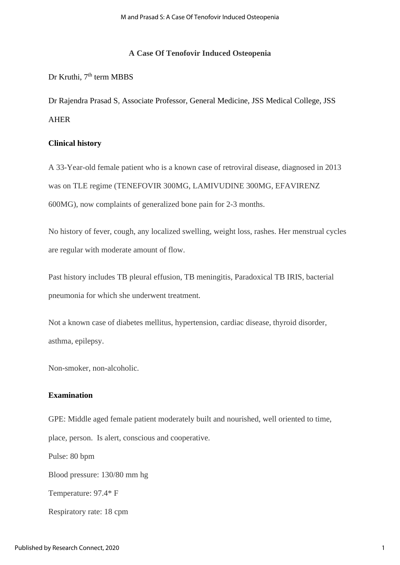## **A Case Of Tenofovir Induced Osteopenia**

# Dr Kruthi, 7<sup>th</sup> term MBBS

Dr Rajendra Prasad S, Associate Professor, General Medicine, JSS Medical College, JSS AHER

## **Clinical history**

A 33-Year-old female patient who is a known case of retroviral disease, diagnosed in 2013 was on TLE regime (TENEFOVIR 300MG, LAMIVUDINE 300MG, EFAVIRENZ 600MG), now complaints of generalized bone pain for 2-3 months.

No history of fever, cough, any localized swelling, weight loss, rashes. Her menstrual cycles are regular with moderate amount of flow.

Past history includes TB pleural effusion, TB meningitis, Paradoxical TB IRIS, bacterial pneumonia for which she underwent treatment.

Not a known case of diabetes mellitus, hypertension, cardiac disease, thyroid disorder, asthma, epilepsy.

Non-smoker, non-alcoholic.

# **Examination**

GPE: Middle aged female patient moderately built and nourished, well oriented to time, place, person. Is alert, conscious and cooperative. Pulse: 80 bpm Blood pressure: 130/80 mm hg Temperature: 97.4\* F Respiratory rate: 18 cpm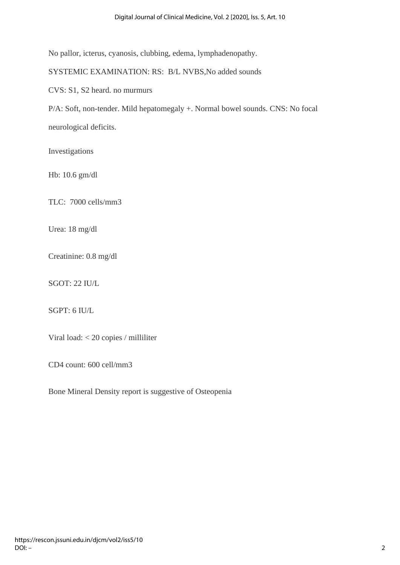No pallor, icterus, cyanosis, clubbing, edema, lymphadenopathy.

SYSTEMIC EXAMINATION: RS: B/L NVBS,No added sounds

CVS: S1, S2 heard. no murmurs

P/A: Soft, non-tender. Mild hepatomegaly +. Normal bowel sounds. CNS: No focal neurological deficits.

Investigations

Hb: 10.6 gm/dl

TLC: 7000 cells/mm3

Urea: 18 mg/dl

Creatinine: 0.8 mg/dl

SGOT: 22 IU/L

SGPT: 6 IU/L

Viral load: < 20 copies / milliliter

CD4 count: 600 cell/mm3

Bone Mineral Density report is suggestive of Osteopenia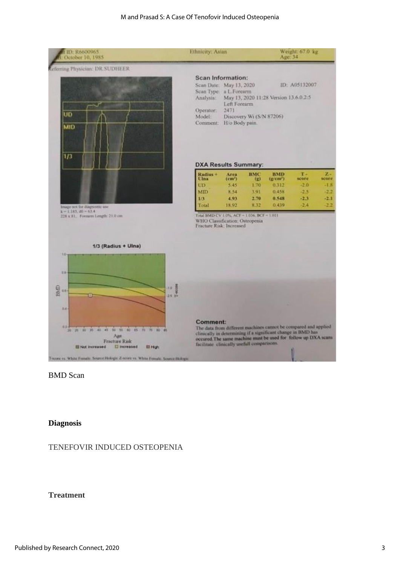#### M and Prasad S: A Case Of Tenofovir Induced Osteopenia



BMD Scan

## **Diagnosis**

## TENEFOVIR INDUCED OSTEOPENIA

## **Treatment**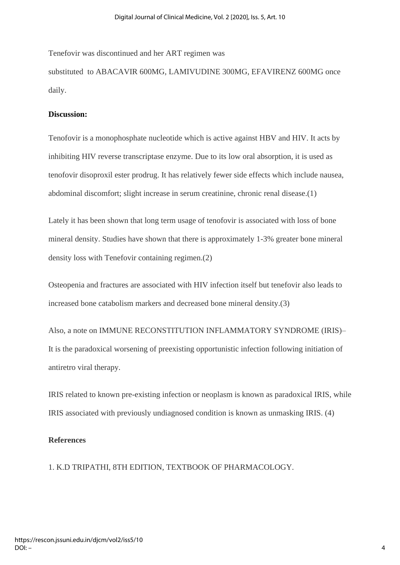Tenefovir was discontinued and her ART regimen was substituted to ABACAVIR 600MG, LAMIVUDINE 300MG, EFAVIRENZ 600MG once daily.

## **Discussion:**

Tenofovir is a monophosphate nucleotide which is active against HBV and HIV. It acts by inhibiting HIV reverse transcriptase enzyme. Due to its low oral absorption, it is used as tenofovir disoproxil ester prodrug. It has relatively fewer side effects which include nausea, abdominal discomfort; slight increase in serum creatinine, chronic renal disease.(1)

Lately it has been shown that long term usage of tenofovir is associated with loss of bone mineral density. Studies have shown that there is approximately 1-3% greater bone mineral density loss with Tenefovir containing regimen.(2)

Osteopenia and fractures are associated with HIV infection itself but tenefovir also leads to increased bone catabolism markers and decreased bone mineral density.(3)

Also, a note on IMMUNE RECONSTITUTION INFLAMMATORY SYNDROME (IRIS)– It is the paradoxical worsening of preexisting opportunistic infection following initiation of antiretro viral therapy.

IRIS related to known pre-existing infection or neoplasm is known as paradoxical IRIS, while IRIS associated with previously undiagnosed condition is known as unmasking IRIS. (4)

# **References**

1. K.D TRIPATHI, 8TH EDITION, TEXTBOOK OF PHARMACOLOGY.